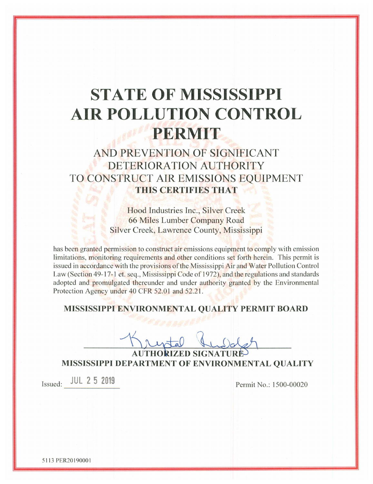# **STATE OF MISSISSIPPI AIR POLLUTION CONTROL PERMIT**

# AND PREVENTION OF SIGNIFICANT DETERIORATION AUTHORITY TO CONSTRUCT AIR EMISSIONS EOUIPMENT THIS CERTIFIES THAT

Hood Industries Inc., Silver Creek 66 Miles Lumber Company Road Silver Creek, Lawrence County, Mississippi

has been granted permission to construct air emissions equipment to comply with emission limitations, monitoring requirements and other conditions set forth herein. This permit is issued in accordance with the provisions of the Mississippi Air and Water Pollution Control Law (Section 49-17-1 et, seq., Mississippi Code of 1972), and the regulations and standards adopted and promulgated thereunder and under authority granted by the Environmental Protection Agency under 40 CFR 52.01 and 52.21.

#### MISSISSIPPI ENVIRONMENTAL QUALITY PERMIT BOARD

**AUTHORIZED SIGNATURE** MISSISSIPPI DEPARTMENT OF ENVIRONMENTAL QUALITY

Issued: JUL 2 5 2019

Permit No.: 1500-00020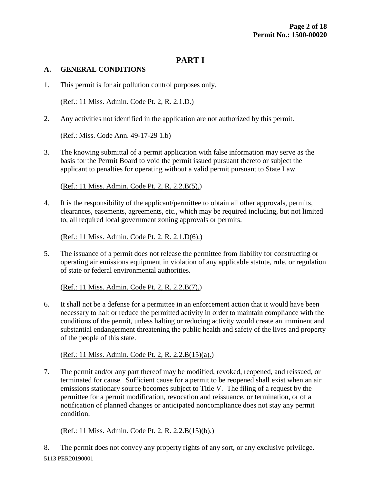# **PART I**

#### **A. GENERAL CONDITIONS**

1. This permit is for air pollution control purposes only.

(Ref.: 11 Miss. Admin. Code Pt. 2, R. 2.1.D.)

2. Any activities not identified in the application are not authorized by this permit.

(Ref.: Miss. Code Ann. 49-17-29 1.b)

3. The knowing submittal of a permit application with false information may serve as the basis for the Permit Board to void the permit issued pursuant thereto or subject the applicant to penalties for operating without a valid permit pursuant to State Law.

(Ref.: 11 Miss. Admin. Code Pt. 2, R. 2.2.B(5).)

4. It is the responsibility of the applicant/permittee to obtain all other approvals, permits, clearances, easements, agreements, etc., which may be required including, but not limited to, all required local government zoning approvals or permits.

(Ref.: 11 Miss. Admin. Code Pt. 2, R. 2.1.D(6).)

5. The issuance of a permit does not release the permittee from liability for constructing or operating air emissions equipment in violation of any applicable statute, rule, or regulation of state or federal environmental authorities.

(Ref.: 11 Miss. Admin. Code Pt. 2, R. 2.2.B(7).)

6. It shall not be a defense for a permittee in an enforcement action that it would have been necessary to halt or reduce the permitted activity in order to maintain compliance with the conditions of the permit, unless halting or reducing activity would create an imminent and substantial endangerment threatening the public health and safety of the lives and property of the people of this state.

(Ref.: 11 Miss. Admin. Code Pt. 2, R. 2.2.B(15)(a).)

7. The permit and/or any part thereof may be modified, revoked, reopened, and reissued, or terminated for cause. Sufficient cause for a permit to be reopened shall exist when an air emissions stationary source becomes subject to Title V. The filing of a request by the permittee for a permit modification, revocation and reissuance, or termination, or of a notification of planned changes or anticipated noncompliance does not stay any permit condition.

(Ref.: 11 Miss. Admin. Code Pt. 2, R. 2.2.B(15)(b).)

5113 PER20190001 8. The permit does not convey any property rights of any sort, or any exclusive privilege.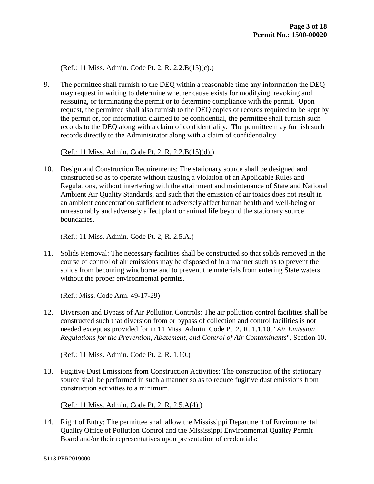#### (Ref.: 11 Miss. Admin. Code Pt. 2, R. 2.2.B(15)(c).)

9. The permittee shall furnish to the DEQ within a reasonable time any information the DEQ may request in writing to determine whether cause exists for modifying, revoking and reissuing, or terminating the permit or to determine compliance with the permit. Upon request, the permittee shall also furnish to the DEQ copies of records required to be kept by the permit or, for information claimed to be confidential, the permittee shall furnish such records to the DEQ along with a claim of confidentiality. The permittee may furnish such records directly to the Administrator along with a claim of confidentiality.

#### (Ref.: 11 Miss. Admin. Code Pt. 2, R. 2.2.B(15)(d).)

10. Design and Construction Requirements: The stationary source shall be designed and constructed so as to operate without causing a violation of an Applicable Rules and Regulations, without interfering with the attainment and maintenance of State and National Ambient Air Quality Standards, and such that the emission of air toxics does not result in an ambient concentration sufficient to adversely affect human health and well-being or unreasonably and adversely affect plant or animal life beyond the stationary source boundaries.

#### (Ref.: 11 Miss. Admin. Code Pt. 2, R. 2.5.A.)

11. Solids Removal: The necessary facilities shall be constructed so that solids removed in the course of control of air emissions may be disposed of in a manner such as to prevent the solids from becoming windborne and to prevent the materials from entering State waters without the proper environmental permits.

(Ref.: Miss. Code Ann. 49-17-29)

12. Diversion and Bypass of Air Pollution Controls: The air pollution control facilities shall be constructed such that diversion from or bypass of collection and control facilities is not needed except as provided for in 11 Miss. Admin. Code Pt. 2, R. 1.1.10, "*Air Emission Regulations for the Prevention, Abatement, and Control of Air Contaminants*", Section 10.

(Ref.: 11 Miss. Admin. Code Pt. 2, R. 1.10.)

13. Fugitive Dust Emissions from Construction Activities: The construction of the stationary source shall be performed in such a manner so as to reduce fugitive dust emissions from construction activities to a minimum.

(Ref.: 11 Miss. Admin. Code Pt. 2, R. 2.5.A(4).)

14. Right of Entry: The permittee shall allow the Mississippi Department of Environmental Quality Office of Pollution Control and the Mississippi Environmental Quality Permit Board and/or their representatives upon presentation of credentials: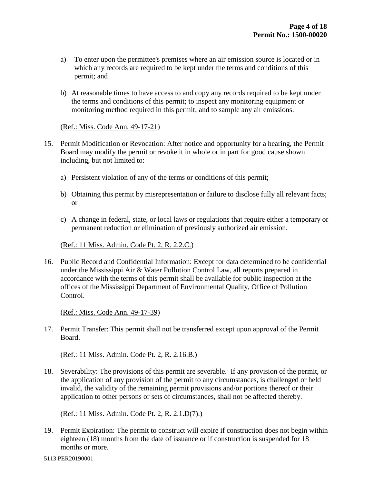- a) To enter upon the permittee's premises where an air emission source is located or in which any records are required to be kept under the terms and conditions of this permit; and
- b) At reasonable times to have access to and copy any records required to be kept under the terms and conditions of this permit; to inspect any monitoring equipment or monitoring method required in this permit; and to sample any air emissions.

#### (Ref.: Miss. Code Ann. 49-17-21)

- 15. Permit Modification or Revocation: After notice and opportunity for a hearing, the Permit Board may modify the permit or revoke it in whole or in part for good cause shown including, but not limited to:
	- a) Persistent violation of any of the terms or conditions of this permit;
	- b) Obtaining this permit by misrepresentation or failure to disclose fully all relevant facts; or
	- c) A change in federal, state, or local laws or regulations that require either a temporary or permanent reduction or elimination of previously authorized air emission.

#### (Ref.: 11 Miss. Admin. Code Pt. 2, R. 2.2.C.)

16. Public Record and Confidential Information: Except for data determined to be confidential under the Mississippi Air & Water Pollution Control Law, all reports prepared in accordance with the terms of this permit shall be available for public inspection at the offices of the Mississippi Department of Environmental Quality, Office of Pollution Control.

(Ref.: Miss. Code Ann. 49-17-39)

17. Permit Transfer: This permit shall not be transferred except upon approval of the Permit Board.

(Ref.: 11 Miss. Admin. Code Pt. 2, R. 2.16.B.)

18. Severability: The provisions of this permit are severable. If any provision of the permit, or the application of any provision of the permit to any circumstances, is challenged or held invalid, the validity of the remaining permit provisions and/or portions thereof or their application to other persons or sets of circumstances, shall not be affected thereby.

#### (Ref.: 11 Miss. Admin. Code Pt. 2, R. 2.1.D(7).)

19. Permit Expiration: The permit to construct will expire if construction does not begin within eighteen (18) months from the date of issuance or if construction is suspended for 18 months or more.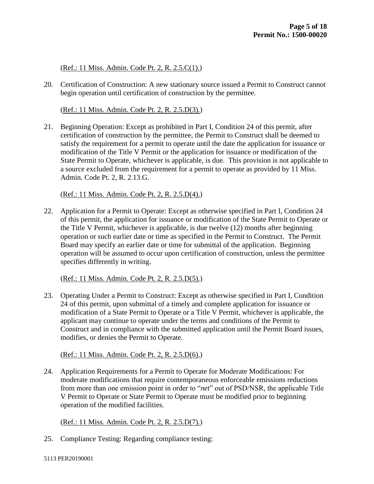(Ref.: 11 Miss. Admin. Code Pt. 2, R. 2.5.C(1).)

20. Certification of Construction: A new stationary source issued a Permit to Construct cannot begin operation until certification of construction by the permittee.

(Ref.: 11 Miss. Admin. Code Pt. 2, R. 2.5.D(3).)

21. Beginning Operation: Except as prohibited in Part I, Condition 24 of this permit, after certification of construction by the permittee, the Permit to Construct shall be deemed to satisfy the requirement for a permit to operate until the date the application for issuance or modification of the Title V Permit or the application for issuance or modification of the State Permit to Operate, whichever is applicable, is due. This provision is not applicable to a source excluded from the requirement for a permit to operate as provided by 11 Miss. Admin. Code Pt. 2, R. 2.13.G.

(Ref.: 11 Miss. Admin. Code Pt. 2, R. 2.5.D(4).)

22. Application for a Permit to Operate: Except as otherwise specified in Part I, Condition 24 of this permit, the application for issuance or modification of the State Permit to Operate or the Title V Permit, whichever is applicable, is due twelve (12) months after beginning operation or such earlier date or time as specified in the Permit to Construct. The Permit Board may specify an earlier date or time for submittal of the application. Beginning operation will be assumed to occur upon certification of construction, unless the permittee specifies differently in writing.

(Ref.: 11 Miss. Admin. Code Pt. 2, R. 2.5.D(5).)

23. Operating Under a Permit to Construct: Except as otherwise specified in Part I, Condition 24 of this permit, upon submittal of a timely and complete application for issuance or modification of a State Permit to Operate or a Title V Permit, whichever is applicable, the applicant may continue to operate under the terms and conditions of the Permit to Construct and in compliance with the submitted application until the Permit Board issues, modifies, or denies the Permit to Operate.

(Ref.: 11 Miss. Admin. Code Pt. 2, R. 2.5.D(6).)

24. Application Requirements for a Permit to Operate for Moderate Modifications: For moderate modifications that require contemporaneous enforceable emissions reductions from more than one emission point in order to "*net*" out of PSD/NSR, the applicable Title V Permit to Operate or State Permit to Operate must be modified prior to beginning operation of the modified facilities.

(Ref.: 11 Miss. Admin. Code Pt. 2, R. 2.5.D(7).)

25. Compliance Testing: Regarding compliance testing: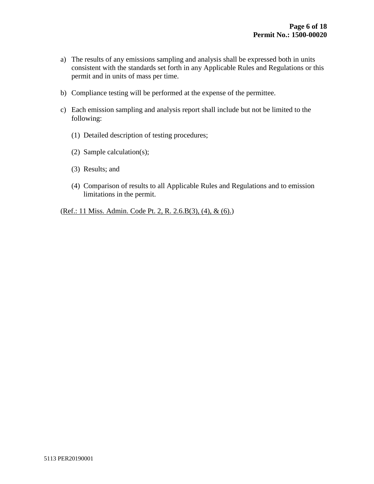- a) The results of any emissions sampling and analysis shall be expressed both in units consistent with the standards set forth in any Applicable Rules and Regulations or this permit and in units of mass per time.
- b) Compliance testing will be performed at the expense of the permittee.
- c) Each emission sampling and analysis report shall include but not be limited to the following:
	- (1) Detailed description of testing procedures;
	- (2) Sample calculation(s);
	- (3) Results; and
	- (4) Comparison of results to all Applicable Rules and Regulations and to emission limitations in the permit.

(Ref.: 11 Miss. Admin. Code Pt. 2, R. 2.6.B(3), (4), & (6).)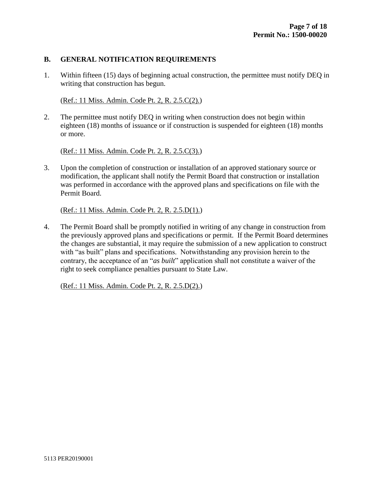#### **B. GENERAL NOTIFICATION REQUIREMENTS**

1. Within fifteen (15) days of beginning actual construction, the permittee must notify DEQ in writing that construction has begun.

#### (Ref.: 11 Miss. Admin. Code Pt. 2, R. 2.5.C(2).)

2. The permittee must notify DEQ in writing when construction does not begin within eighteen (18) months of issuance or if construction is suspended for eighteen (18) months or more.

(Ref.: 11 Miss. Admin. Code Pt. 2, R. 2.5.C(3).)

3. Upon the completion of construction or installation of an approved stationary source or modification, the applicant shall notify the Permit Board that construction or installation was performed in accordance with the approved plans and specifications on file with the Permit Board.

#### (Ref.: 11 Miss. Admin. Code Pt. 2, R. 2.5.D(1).)

4. The Permit Board shall be promptly notified in writing of any change in construction from the previously approved plans and specifications or permit. If the Permit Board determines the changes are substantial, it may require the submission of a new application to construct with "as built" plans and specifications. Notwithstanding any provision herein to the contrary, the acceptance of an "*as built*" application shall not constitute a waiver of the right to seek compliance penalties pursuant to State Law.

(Ref.: 11 Miss. Admin. Code Pt. 2, R. 2.5.D(2).)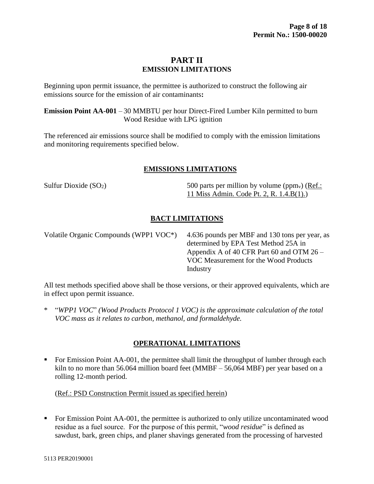# **PART II EMISSION LIMITATIONS**

Beginning upon permit issuance, the permittee is authorized to construct the following air emissions source for the emission of air contaminants**:**

**Emission Point AA-001** – 30 MMBTU per hour Direct-Fired Lumber Kiln permitted to burn Wood Residue with LPG ignition

The referenced air emissions source shall be modified to comply with the emission limitations and monitoring requirements specified below.

# **EMISSIONS LIMITATIONS**

Sulfur Dioxide  $(SO_2)$  500 parts per million by volume (ppm<sub>v</sub>) (Ref.: 11 Miss Admin. Code Pt. 2, R. 1.4.B(1).)

# **BACT LIMITATIONS**

Volatile Organic Compounds (WPP1 VOC\*) 4.636 pounds per MBF and 130 tons per year, as determined by EPA Test Method 25A in Appendix A of 40 CFR Part 60 and OTM 26 – VOC Measurement for the Wood Products Industry

All test methods specified above shall be those versions, or their approved equivalents, which are in effect upon permit issuance.

\* "*WPP1 VOC*" *(Wood Products Protocol 1 VOC) is the approximate calculation of the total VOC mass as it relates to carbon, methanol, and formaldehyde.*

# **OPERATIONAL LIMITATIONS**

For Emission Point AA-001, the permittee shall limit the throughput of lumber through each kiln to no more than 56.064 million board feet (MMBF – 56,064 MBF) per year based on a rolling 12-month period.

# (Ref.: PSD Construction Permit issued as specified herein)

• For Emission Point AA-001, the permittee is authorized to only utilize uncontaminated wood residue as a fuel source. For the purpose of this permit, "*wood residue*" is defined as sawdust, bark, green chips, and planer shavings generated from the processing of harvested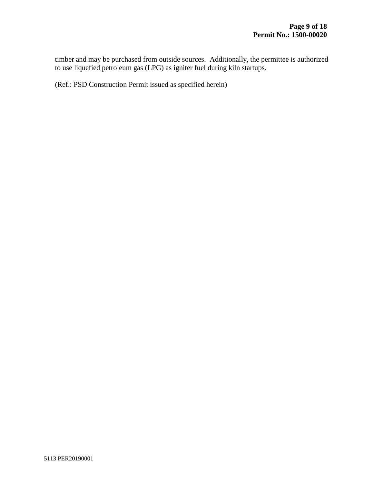timber and may be purchased from outside sources. Additionally, the permittee is authorized to use liquefied petroleum gas (LPG) as igniter fuel during kiln startups.

(Ref.: PSD Construction Permit issued as specified herein)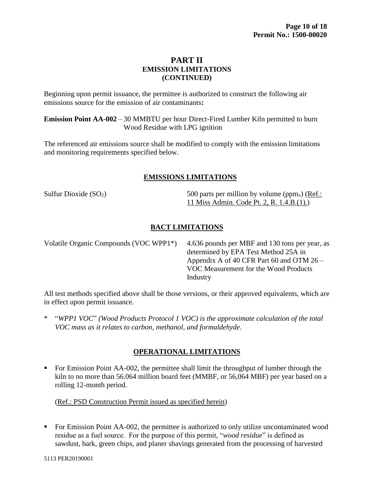# **PART II EMISSION LIMITATIONS (CONTINUED)**

Beginning upon permit issuance, the permittee is authorized to construct the following air emissions source for the emission of air contaminants**:**

**Emission Point AA-002** – 30 MMBTU per hour Direct-Fired Lumber Kiln permitted to burn Wood Residue with LPG ignition

The referenced air emissions source shall be modified to comply with the emission limitations and monitoring requirements specified below.

# **EMISSIONS LIMITATIONS**

Sulfur Dioxide  $(SO_2)$  500 parts per million by volume (ppm<sub>v</sub>) (Ref.: 11 Miss Admin. Code Pt. 2, R. 1.4.B.(1).)

# **BACT LIMITATIONS**

Volatile Organic Compounds (VOC WPP1\*) 4.636 pounds per MBF and 130 tons per year, as determined by EPA Test Method 25A in Appendix A of 40 CFR Part 60 and OTM 26 – VOC Measurement for the Wood Products Industry

All test methods specified above shall be those versions, or their approved equivalents, which are in effect upon permit issuance.

\* "*WPP1 VOC*" *(Wood Products Protocol 1 VOC) is the approximate calculation of the total VOC mass as it relates to carbon, methanol, and formaldehyde*.

# **OPERATIONAL LIMITATIONS**

 For Emission Point AA-002, the permittee shall limit the throughput of lumber through the kiln to no more than 56.064 million board feet (MMBF, or 56,064 MBF) per year based on a rolling 12-month period.

# (Ref.: PSD Construction Permit issued as specified herein)

For Emission Point AA-002, the permittee is authorized to only utilize uncontaminated wood residue as a fuel source. For the purpose of this permit, "*wood residue*" is defined as sawdust, bark, green chips, and planer shavings generated from the processing of harvested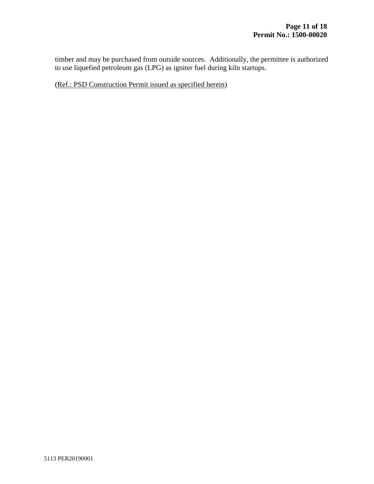timber and may be purchased from outside sources. Additionally, the permittee is authorized to use liquefied petroleum gas (LPG) as igniter fuel during kiln startups.

(Ref.: PSD Construction Permit issued as specified herein)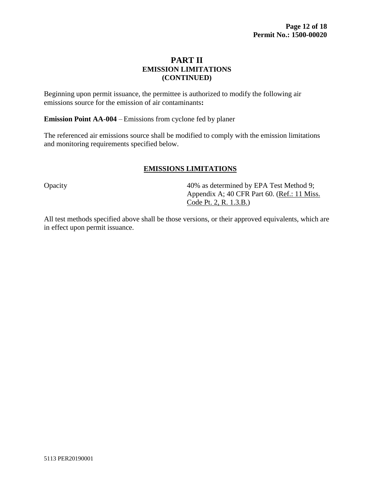# **PART II EMISSION LIMITATIONS (CONTINUED)**

Beginning upon permit issuance, the permittee is authorized to modify the following air emissions source for the emission of air contaminants**:**

**Emission Point AA-004** – Emissions from cyclone fed by planer

The referenced air emissions source shall be modified to comply with the emission limitations and monitoring requirements specified below.

# **EMISSIONS LIMITATIONS**

Opacity 40% as determined by EPA Test Method 9; Appendix A; 40 CFR Part 60. (Ref.: 11 Miss. Code Pt. 2, R. 1.3.B.)

All test methods specified above shall be those versions, or their approved equivalents, which are in effect upon permit issuance.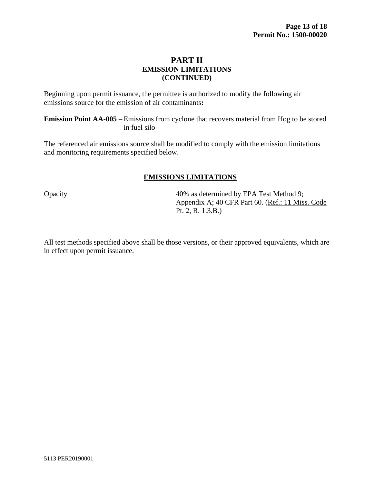# **PART II EMISSION LIMITATIONS (CONTINUED)**

Beginning upon permit issuance, the permittee is authorized to modify the following air emissions source for the emission of air contaminants**:**

**Emission Point AA-005** – Emissions from cyclone that recovers material from Hog to be stored in fuel silo

The referenced air emissions source shall be modified to comply with the emission limitations and monitoring requirements specified below.

# **EMISSIONS LIMITATIONS**

Opacity 40% as determined by EPA Test Method 9; Appendix A; 40 CFR Part 60. (Ref.: 11 Miss. Code Pt. 2, R. 1.3.B.)

All test methods specified above shall be those versions, or their approved equivalents, which are in effect upon permit issuance.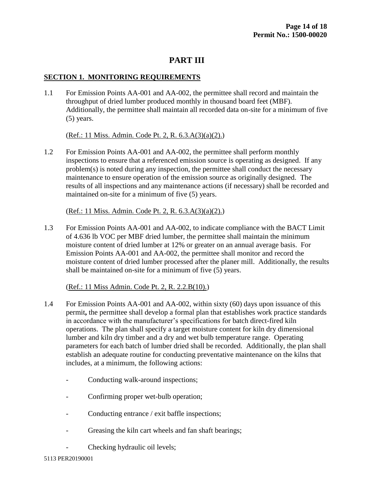# **PART III**

# **SECTION 1. MONITORING REQUIREMENTS**

1.1 For Emission Points AA-001 and AA-002, the permittee shall record and maintain the throughput of dried lumber produced monthly in thousand board feet (MBF). Additionally, the permittee shall maintain all recorded data on-site for a minimum of five (5) years.

(Ref.: 11 Miss. Admin. Code Pt. 2, R. 6.3.A(3)(a)(2).)

1.2 For Emission Points AA-001 and AA-002, the permittee shall perform monthly inspections to ensure that a referenced emission source is operating as designed. If any problem(s) is noted during any inspection, the permittee shall conduct the necessary maintenance to ensure operation of the emission source as originally designed.The results of all inspections and any maintenance actions (if necessary) shall be recorded and maintained on-site for a minimum of five (5) years.

(Ref.: 11 Miss. Admin. Code Pt. 2, R. 6.3.A(3)(a)(2).)

1.3 For Emission Points AA-001 and AA-002, to indicate compliance with the BACT Limit of 4.636 lb VOC per MBF dried lumber, the permittee shall maintain the minimum moisture content of dried lumber at 12% or greater on an annual average basis. For Emission Points AA-001 and AA-002, the permittee shall monitor and record the moisture content of dried lumber processed after the planer mill. Additionally, the results shall be maintained on-site for a minimum of five (5) years.

(Ref.: 11 Miss Admin. Code Pt. 2, R. 2.2.B(10).)

- 1.4 For Emission Points AA-001 and AA-002, within sixty (60) days upon issuance of this permit**,** the permittee shall develop a formal plan that establishes work practice standards in accordance with the manufacturer's specifications for batch direct-fired kiln operations. The plan shall specify a target moisture content for kiln dry dimensional lumber and kiln dry timber and a dry and wet bulb temperature range. Operating parameters for each batch of lumber dried shall be recorded. Additionally, the plan shall establish an adequate routine for conducting preventative maintenance on the kilns that includes, at a minimum, the following actions:
	- Conducting walk-around inspections;
	- Confirming proper wet-bulb operation;
	- Conducting entrance / exit baffle inspections;
	- Greasing the kiln cart wheels and fan shaft bearings;
	- Checking hydraulic oil levels;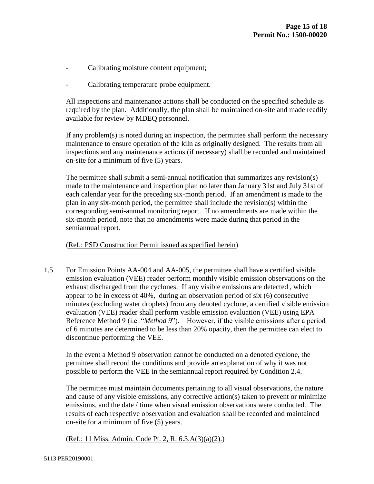- Calibrating moisture content equipment;
- Calibrating temperature probe equipment.

All inspections and maintenance actions shall be conducted on the specified schedule as required by the plan. Additionally, the plan shall be maintained on-site and made readily available for review by MDEQ personnel.

If any problem(s) is noted during an inspection, the permittee shall perform the necessary maintenance to ensure operation of the kiln as originally designed. The results from all inspections and any maintenance actions (if necessary) shall be recorded and maintained on-site for a minimum of five (5) years.

The permittee shall submit a semi-annual notification that summarizes any revision(s) made to the maintenance and inspection plan no later than January 31st and July 31st of each calendar year for the preceding six-month period. If an amendment is made to the plan in any six-month period, the permittee shall include the revision(s) within the corresponding semi-annual monitoring report. If no amendments are made within the six-month period, note that no amendments were made during that period in the semiannual report.

(Ref.: PSD Construction Permit issued as specified herein)

1.5 For Emission Points AA-004 and AA-005, the permittee shall have a certified visible emission evaluation (VEE) reader perform monthly visible emission observations on the exhaust discharged from the cyclones. If any visible emissions are detected , which appear to be in excess of 40%, during an observation period of six (6) consecutive minutes (excluding water droplets) from any denoted cyclone, a certified visible emission evaluation (VEE) reader shall perform visible emission evaluation (VEE) using EPA Reference Method 9 (i.e. "*Method 9*"). However, if the visible emissions after a period of 6 minutes are determined to be less than 20% opacity, then the permittee can elect to discontinue performing the VEE.

In the event a Method 9 observation cannot be conducted on a denoted cyclone, the permittee shall record the conditions and provide an explanation of why it was not possible to perform the VEE in the semiannual report required by Condition 2.4.

The permittee must maintain documents pertaining to all visual observations, the nature and cause of any visible emissions, any corrective action(s) taken to prevent or minimize emissions, and the date / time when visual emission observations were conducted. The results of each respective observation and evaluation shall be recorded and maintained on-site for a minimum of five (5) years.

(Ref.: 11 Miss. Admin. Code Pt. 2, R. 6.3.A(3)(a)(2).)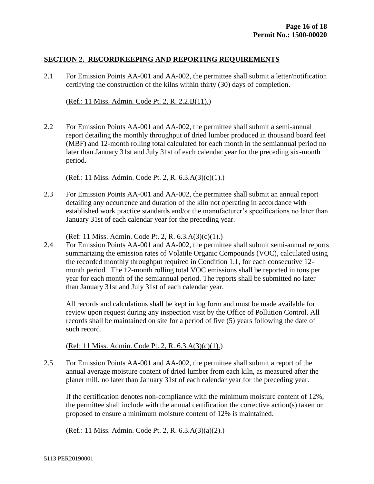#### **SECTION 2. RECORDKEEPING AND REPORTING REQUIREMENTS**

2.1 For Emission Points AA-001 and AA-002, the permittee shall submit a letter/notification certifying the construction of the kilns within thirty (30) days of completion.

#### (Ref.: 11 Miss. Admin. Code Pt. 2, R. 2.2.B(11).)

2.2 For Emission Points AA-001 and AA-002, the permittee shall submit a semi-annual report detailing the monthly throughput of dried lumber produced in thousand board feet (MBF) and 12-month rolling total calculated for each month in the semiannual period no later than January 31st and July 31st of each calendar year for the preceding six-month period.

(Ref.: 11 Miss. Admin. Code Pt. 2, R. 6.3.A(3)(c)(1).)

2.3 For Emission Points AA-001 and AA-002, the permittee shall submit an annual report detailing any occurrence and duration of the kiln not operating in accordance with established work practice standards and/or the manufacturer's specifications no later than January 31st of each calendar year for the preceding year.

(Ref: 11 Miss. Admin. Code Pt. 2, R. 6.3.A(3)(c)(1).)

2.4 For Emission Points AA-001 and AA-002, the permittee shall submit semi-annual reports summarizing the emission rates of Volatile Organic Compounds (VOC), calculated using the recorded monthly throughput required in Condition 1.1, for each consecutive 12 month period. The 12-month rolling total VOC emissions shall be reported in tons per year for each month of the semiannual period. The reports shall be submitted no later than January 31st and July 31st of each calendar year.

All records and calculations shall be kept in log form and must be made available for review upon request during any inspection visit by the Office of Pollution Control. All records shall be maintained on site for a period of five (5) years following the date of such record.

(Ref: 11 Miss. Admin. Code Pt. 2, R. 6.3.A(3)(c)(1).)

2.5 For Emission Points AA-001 and AA-002, the permittee shall submit a report of the annual average moisture content of dried lumber from each kiln, as measured after the planer mill, no later than January 31st of each calendar year for the preceding year.

If the certification denotes non-compliance with the minimum moisture content of 12%, the permittee shall include with the annual certification the corrective action(s) taken or proposed to ensure a minimum moisture content of 12% is maintained.

(Ref.: 11 Miss. Admin. Code Pt. 2, R. 6.3.A(3)(a)(2).)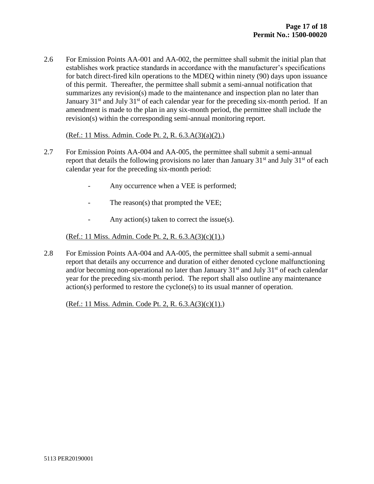2.6 For Emission Points AA-001 and AA-002, the permittee shall submit the initial plan that establishes work practice standards in accordance with the manufacturer's specifications for batch direct-fired kiln operations to the MDEQ within ninety (90) days upon issuance of this permit. Thereafter, the permittee shall submit a semi-annual notification that summarizes any revision(s) made to the maintenance and inspection plan no later than January  $31<sup>st</sup>$  and July  $31<sup>st</sup>$  of each calendar year for the preceding six-month period. If an amendment is made to the plan in any six-month period, the permittee shall include the revision(s) within the corresponding semi-annual monitoring report.

#### (Ref.: 11 Miss. Admin. Code Pt. 2, R. 6.3.A(3)(a)(2).)

- 2.7 For Emission Points AA-004 and AA-005, the permittee shall submit a semi-annual report that details the following provisions no later than January  $31<sup>st</sup>$  and July  $31<sup>st</sup>$  of each calendar year for the preceding six-month period:
	- Any occurrence when a VEE is performed;
	- The reason(s) that prompted the VEE;
	- Any action(s) taken to correct the issue(s).

#### (Ref.: 11 Miss. Admin. Code Pt. 2, R. 6.3.A(3)(c)(1).)

2.8 For Emission Points AA-004 and AA-005, the permittee shall submit a semi-annual report that details any occurrence and duration of either denoted cyclone malfunctioning and/or becoming non-operational no later than January  $31<sup>st</sup>$  and July  $31<sup>st</sup>$  of each calendar year for the preceding six-month period. The report shall also outline any maintenance action(s) performed to restore the cyclone(s) to its usual manner of operation.

(Ref.: 11 Miss. Admin. Code Pt. 2, R. 6.3.A(3)(c)(1).)